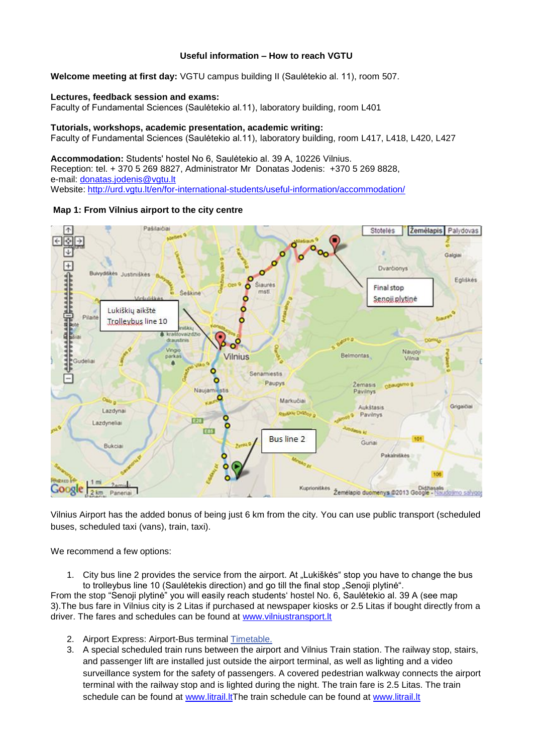## **Useful information – How to reach VGTU**

**Welcome meeting at first day:** VGTU campus building II (Saulėtekio al. 11), room 507.

## **Lectures, feedback session and exams:**

Faculty of Fundamental Sciences (Saulėtekio al.11), laboratory building, room L401

## **Tutorials, workshops, academic presentation, academic writing:**

Faculty of Fundamental Sciences (Saulėtekio al.11), laboratory building, room L417, L418, L420, L427

**Accommodation:** Students' hostel No 6, Saulėtekio al. 39 A, 10226 Vilnius. Reception: tel. + 370 5 269 8827, Administrator Mr Donatas Jodenis: +370 5 269 8828, e-mail: [donatas.jodenis@vgtu.lt](mailto:donatas.jodenis@vgtu.lt) Website: <http://urd.vgtu.lt/en/for-international-students/useful-information/accommodation/>





Vilnius Airport has the added bonus of being just 6 km from the city. You can use public transport (scheduled buses, scheduled taxi (vans), train, taxi).

We recommend a few options:

1. City bus line 2 provides the service from the airport. At "Lukiškės" stop you have to change the bus to trolleybus line 10 (Saulėtekis direction) and go till the final stop "Senoji plytinė".

From the stop "Senoji plytinė" you will easily reach students' hostel No. 6, Saulėtekio al. 39 A (see map 3).The bus fare in Vilnius city is 2 Litas if purchased at newspaper kiosks or 2.5 Litas if bought directly from a driver. The fares and schedules can be found at [www.vilniustransport.lt](http://www.vilniustransport.lt/)

- 2. Airport Express: Airport-Bus terminal [Timetable.](http://www.vilnius-airport.lt/en/tips-for-passangers/arriving-to-airport/public-transport/toks-vno.pdf)
- 3. A special scheduled train runs between the airport and Vilnius Train station. The railway stop, stairs, and passenger lift are installed just outside the airport terminal, as well as lighting and a video surveillance system for the safety of passengers. A covered pedestrian walkway connects the airport terminal with the railway stop and is lighted during the night. The train fare is 2.5 Litas. The train schedule can be found at [www.litrail.ltT](http://www.litrail.lt/)he train schedule can be found at [www.litrail.lt](http://www.litrail.lt/)